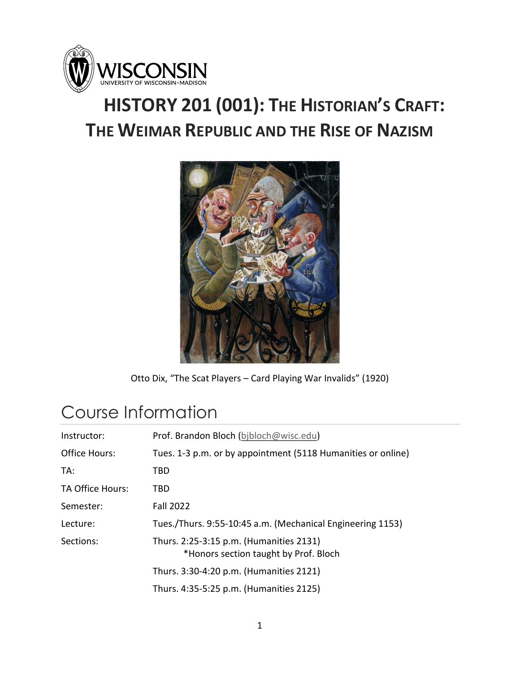

# **HISTORY 201 (001): THE HISTORIAN'S CRAFT: THE WEIMAR REPUBLIC AND THE RISE OF NAZISM**



Otto Dix, "The Scat Players – Card Playing War Invalids" (1920)

## Course Information

| Instructor:      | Prof. Brandon Bloch (bjbloch@wisc.edu)                                           |
|------------------|----------------------------------------------------------------------------------|
| Office Hours:    | Tues. 1-3 p.m. or by appointment (5118 Humanities or online)                     |
| TA:              | TBD                                                                              |
| TA Office Hours: | TBD                                                                              |
| Semester:        | <b>Fall 2022</b>                                                                 |
| Lecture:         | Tues./Thurs. 9:55-10:45 a.m. (Mechanical Engineering 1153)                       |
| Sections:        | Thurs. 2:25-3:15 p.m. (Humanities 2131)<br>*Honors section taught by Prof. Bloch |
|                  | Thurs. 3:30-4:20 p.m. (Humanities 2121)                                          |
|                  | Thurs. 4:35-5:25 p.m. (Humanities 2125)                                          |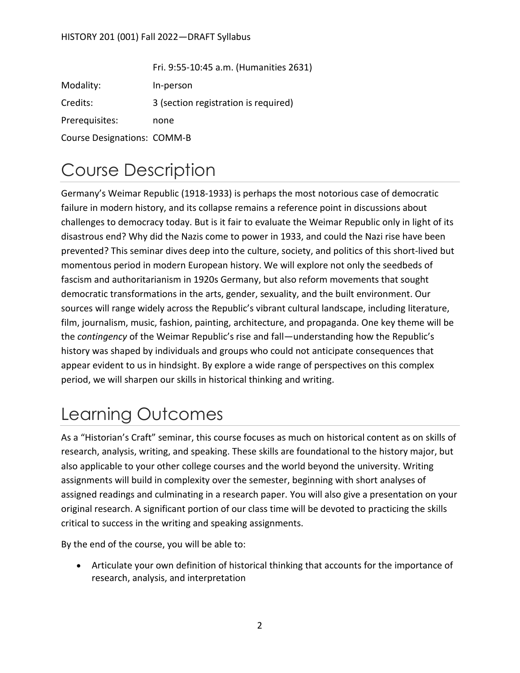#### HISTORY 201 (001) Fall 2022—DRAFT Syllabus

Fri. 9:55-10:45 a.m. (Humanities 2631) Modality: In-person Credits: 3 (section registration is required) Prerequisites: none Course Designations: COMM-B

# Course Description

Germany's Weimar Republic (1918-1933) is perhaps the most notorious case of democratic failure in modern history, and its collapse remains a reference point in discussions about challenges to democracy today. But is it fair to evaluate the Weimar Republic only in light of its disastrous end? Why did the Nazis come to power in 1933, and could the Nazi rise have been prevented? This seminar dives deep into the culture, society, and politics of this short-lived but momentous period in modern European history. We will explore not only the seedbeds of fascism and authoritarianism in 1920s Germany, but also reform movements that sought democratic transformations in the arts, gender, sexuality, and the built environment. Our sources will range widely across the Republic's vibrant cultural landscape, including literature, film, journalism, music, fashion, painting, architecture, and propaganda. One key theme will be the *contingency* of the Weimar Republic's rise and fall—understanding how the Republic's history was shaped by individuals and groups who could not anticipate consequences that appear evident to us in hindsight. By explore a wide range of perspectives on this complex period, we will sharpen our skills in historical thinking and writing.

## Learning Outcomes

As a "Historian's Craft" seminar, this course focuses as much on historical content as on skills of research, analysis, writing, and speaking. These skills are foundational to the history major, but also applicable to your other college courses and the world beyond the university. Writing assignments will build in complexity over the semester, beginning with short analyses of assigned readings and culminating in a research paper. You will also give a presentation on your original research. A significant portion of our class time will be devoted to practicing the skills critical to success in the writing and speaking assignments.

By the end of the course, you will be able to:

• Articulate your own definition of historical thinking that accounts for the importance of research, analysis, and interpretation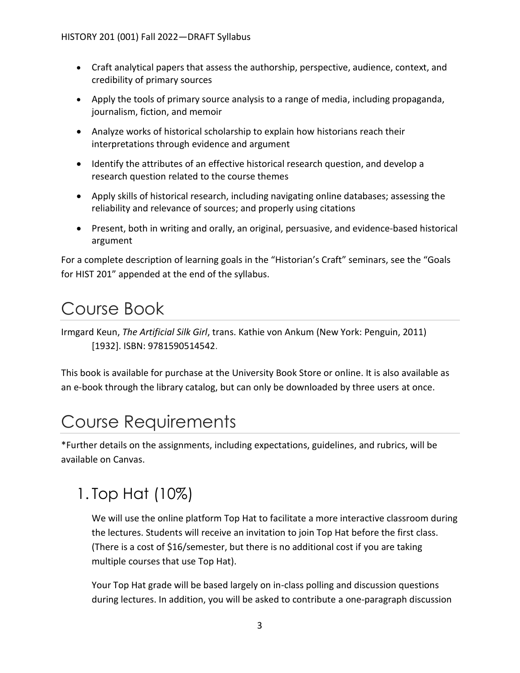- Craft analytical papers that assess the authorship, perspective, audience, context, and credibility of primary sources
- Apply the tools of primary source analysis to a range of media, including propaganda, journalism, fiction, and memoir
- Analyze works of historical scholarship to explain how historians reach their interpretations through evidence and argument
- Identify the attributes of an effective historical research question, and develop a research question related to the course themes
- Apply skills of historical research, including navigating online databases; assessing the reliability and relevance of sources; and properly using citations
- Present, both in writing and orally, an original, persuasive, and evidence-based historical argument

For a complete description of learning goals in the "Historian's Craft" seminars, see the "Goals for HIST 201" appended at the end of the syllabus.

## Course Book

Irmgard Keun, *The Artificial Silk Girl*, trans. Kathie von Ankum (New York: Penguin, 2011) [1932]. ISBN: 9781590514542.

This book is available for purchase at the University Book Store or online. It is also available as an e-book through the library catalog, but can only be downloaded by three users at once.

# Course Requirements

\*Further details on the assignments, including expectations, guidelines, and rubrics, will be available on Canvas.

## 1. Top Hat (10%)

We will use the online platform Top Hat to facilitate a more interactive classroom during the lectures. Students will receive an invitation to join Top Hat before the first class. (There is a cost of \$16/semester, but there is no additional cost if you are taking multiple courses that use Top Hat).

Your Top Hat grade will be based largely on in-class polling and discussion questions during lectures. In addition, you will be asked to contribute a one-paragraph discussion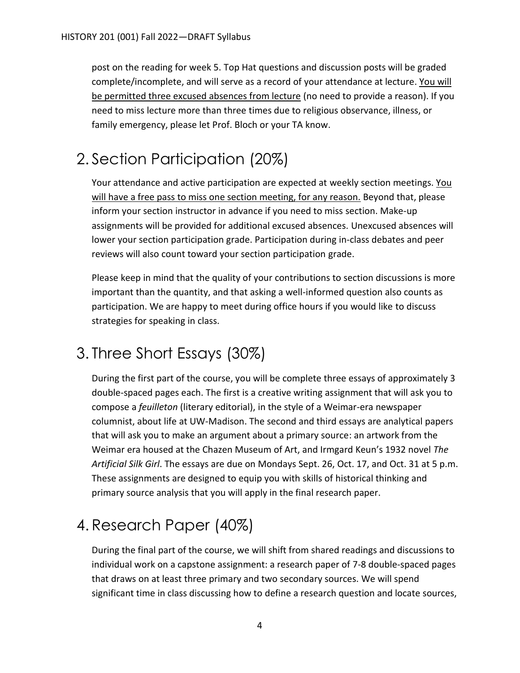post on the reading for week 5. Top Hat questions and discussion posts will be graded complete/incomplete, and will serve as a record of your attendance at lecture. You will be permitted three excused absences from lecture (no need to provide a reason). If you need to miss lecture more than three times due to religious observance, illness, or family emergency, please let Prof. Bloch or your TA know.

### 2. Section Participation (20%)

Your attendance and active participation are expected at weekly section meetings. You will have a free pass to miss one section meeting, for any reason. Beyond that, please inform your section instructor in advance if you need to miss section. Make-up assignments will be provided for additional excused absences. Unexcused absences will lower your section participation grade. Participation during in-class debates and peer reviews will also count toward your section participation grade.

Please keep in mind that the quality of your contributions to section discussions is more important than the quantity, and that asking a well-informed question also counts as participation. We are happy to meet during office hours if you would like to discuss strategies for speaking in class.

### 3. Three Short Essays (30%)

During the first part of the course, you will be complete three essays of approximately 3 double-spaced pages each. The first is a creative writing assignment that will ask you to compose a *feuilleton* (literary editorial), in the style of a Weimar-era newspaper columnist, about life at UW-Madison. The second and third essays are analytical papers that will ask you to make an argument about a primary source: an artwork from the Weimar era housed at the Chazen Museum of Art, and Irmgard Keun's 1932 novel *The Artificial Silk Girl*. The essays are due on Mondays Sept. 26, Oct. 17, and Oct. 31 at 5 p.m. These assignments are designed to equip you with skills of historical thinking and primary source analysis that you will apply in the final research paper.

### 4. Research Paper (40%)

During the final part of the course, we will shift from shared readings and discussions to individual work on a capstone assignment: a research paper of 7-8 double-spaced pages that draws on at least three primary and two secondary sources. We will spend significant time in class discussing how to define a research question and locate sources,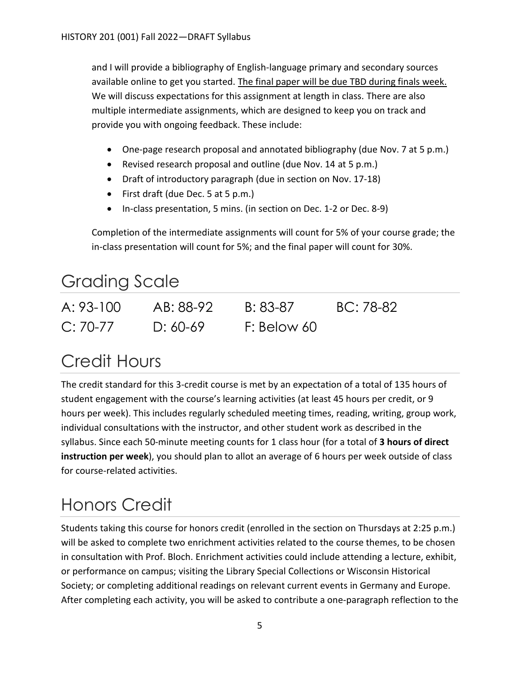and I will provide a bibliography of English-language primary and secondary sources available online to get you started. The final paper will be due TBD during finals week. We will discuss expectations for this assignment at length in class. There are also multiple intermediate assignments, which are designed to keep you on track and provide you with ongoing feedback. These include:

- One-page research proposal and annotated bibliography (due Nov. 7 at 5 p.m.)
- Revised research proposal and outline (due Nov. 14 at 5 p.m.)
- Draft of introductory paragraph (due in section on Nov. 17-18)
- First draft (due Dec. 5 at 5 p.m.)
- In-class presentation, 5 mins. (in section on Dec. 1-2 or Dec. 8-9)

Completion of the intermediate assignments will count for 5% of your course grade; the in-class presentation will count for 5%; and the final paper will count for 30%.

## Grading Scale A: 93-100 AB: 88-92 B: 83-87 BC: 78-82 C: 70-77 D: 60-69 F: Below 60

# Credit Hours

The credit standard for this 3-credit course is met by an expectation of a total of 135 hours of student engagement with the course's learning activities (at least 45 hours per credit, or 9 hours per week). This includes regularly scheduled meeting times, reading, writing, group work, individual consultations with the instructor, and other student work as described in the syllabus. Since each 50-minute meeting counts for 1 class hour (for a total of **3 hours of direct instruction per week**), you should plan to allot an average of 6 hours per week outside of class for course-related activities.

# Honors Credit

Students taking this course for honors credit (enrolled in the section on Thursdays at 2:25 p.m.) will be asked to complete two enrichment activities related to the course themes, to be chosen in consultation with Prof. Bloch. Enrichment activities could include attending a lecture, exhibit, or performance on campus; visiting the Library Special Collections or Wisconsin Historical Society; or completing additional readings on relevant current events in Germany and Europe. After completing each activity, you will be asked to contribute a one-paragraph reflection to the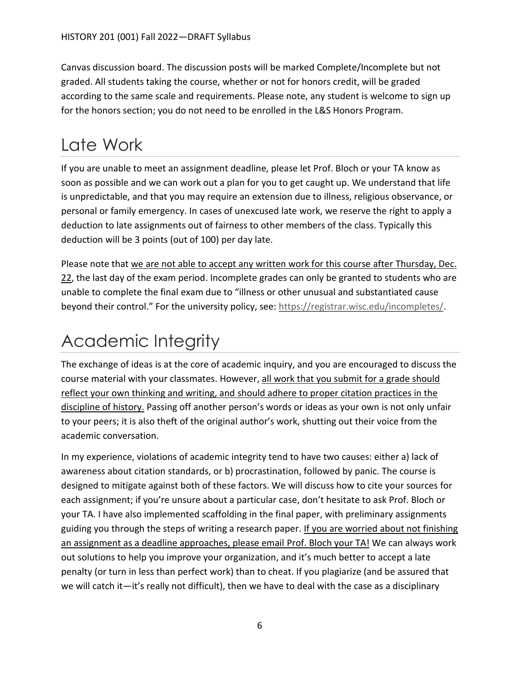Canvas discussion board. The discussion posts will be marked Complete/Incomplete but not graded. All students taking the course, whether or not for honors credit, will be graded according to the same scale and requirements. Please note, any student is welcome to sign up for the honors section; you do not need to be enrolled in the L&S Honors Program.

# Late Work

If you are unable to meet an assignment deadline, please let Prof. Bloch or your TA know as soon as possible and we can work out a plan for you to get caught up. We understand that life is unpredictable, and that you may require an extension due to illness, religious observance, or personal or family emergency. In cases of unexcused late work, we reserve the right to apply a deduction to late assignments out of fairness to other members of the class. Typically this deduction will be 3 points (out of 100) per day late.

Please note that we are not able to accept any written work for this course after Thursday, Dec. 22, the last day of the exam period. Incomplete grades can only be granted to students who are unable to complete the final exam due to "illness or other unusual and substantiated cause beyond their control." For the university policy, see: [https://registrar.wisc.edu/incompletes/.](https://registrar.wisc.edu/incompletes/)

# Academic Integrity

The exchange of ideas is at the core of academic inquiry, and you are encouraged to discuss the course material with your classmates. However, all work that you submit for a grade should reflect your own thinking and writing, and should adhere to proper citation practices in the discipline of history. Passing off another person's words or ideas as your own is not only unfair to your peers; it is also theft of the original author's work, shutting out their voice from the academic conversation.

In my experience, violations of academic integrity tend to have two causes: either a) lack of awareness about citation standards, or b) procrastination, followed by panic. The course is designed to mitigate against both of these factors. We will discuss how to cite your sources for each assignment; if you're unsure about a particular case, don't hesitate to ask Prof. Bloch or your TA. I have also implemented scaffolding in the final paper, with preliminary assignments guiding you through the steps of writing a research paper. If you are worried about not finishing an assignment as a deadline approaches, please email Prof. Bloch your TA! We can always work out solutions to help you improve your organization, and it's much better to accept a late penalty (or turn in less than perfect work) than to cheat. If you plagiarize (and be assured that we will catch it—it's really not difficult), then we have to deal with the case as a disciplinary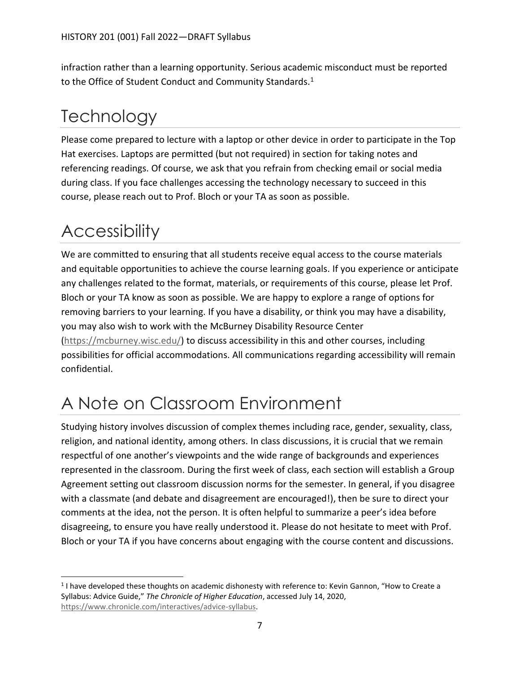infraction rather than a learning opportunity. Serious academic misconduct must be reported to the Office of Student Conduct and Community Standards.<sup>1</sup>

# **Technology**

Please come prepared to lecture with a laptop or other device in order to participate in the Top Hat exercises. Laptops are permitted (but not required) in section for taking notes and referencing readings. Of course, we ask that you refrain from checking email or social media during class. If you face challenges accessing the technology necessary to succeed in this course, please reach out to Prof. Bloch or your TA as soon as possible.

# **Accessibility**

We are committed to ensuring that all students receive equal access to the course materials and equitable opportunities to achieve the course learning goals. If you experience or anticipate any challenges related to the format, materials, or requirements of this course, please let Prof. Bloch or your TA know as soon as possible. We are happy to explore a range of options for removing barriers to your learning. If you have a disability, or think you may have a disability, you may also wish to work with the McBurney Disability Resource Center [\(https://mcburney.wisc.edu/\)](https://mcburney.wisc.edu/) to discuss accessibility in this and other courses, including possibilities for official accommodations. All communications regarding accessibility will remain confidential.

# A Note on Classroom Environment

Studying history involves discussion of complex themes including race, gender, sexuality, class, religion, and national identity, among others. In class discussions, it is crucial that we remain respectful of one another's viewpoints and the wide range of backgrounds and experiences represented in the classroom. During the first week of class, each section will establish a Group Agreement setting out classroom discussion norms for the semester. In general, if you disagree with a classmate (and debate and disagreement are encouraged!), then be sure to direct your comments at the idea, not the person. It is often helpful to summarize a peer's idea before disagreeing, to ensure you have really understood it. Please do not hesitate to meet with Prof. Bloch or your TA if you have concerns about engaging with the course content and discussions.

 $\overline{a}$ <sup>1</sup> I have developed these thoughts on academic dishonesty with reference to: Kevin Gannon, "How to Create a Syllabus: Advice Guide," *The Chronicle of Higher Education*, accessed July 14, 2020, [https://www.chronicle.com/interactives/advice-syllabus.](https://www.chronicle.com/interactives/advice-syllabus)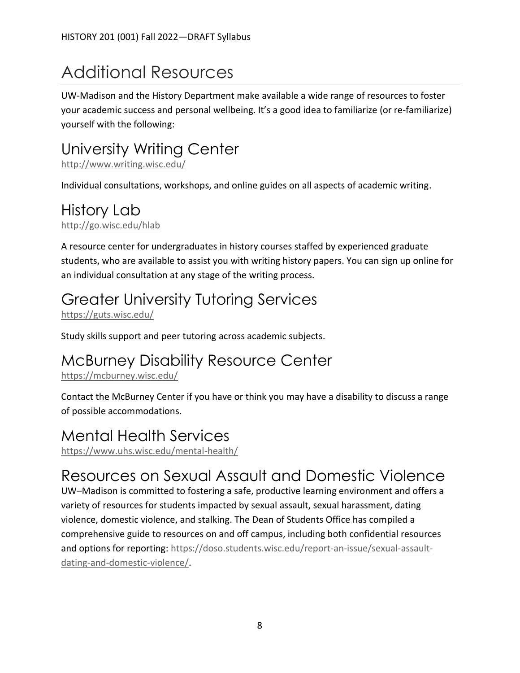# Additional Resources

UW-Madison and the History Department make available a wide range of resources to foster your academic success and personal wellbeing. It's a good idea to familiarize (or re-familiarize) yourself with the following:

### University Writing Center

<http://www.writing.wisc.edu/>

Individual consultations, workshops, and online guides on all aspects of academic writing.

### History Lab

<http://go.wisc.edu/hlab>

A resource center for undergraduates in history courses staffed by experienced graduate students, who are available to assist you with writing history papers. You can sign up online for an individual consultation at any stage of the writing process.

### Greater University Tutoring Services

<https://guts.wisc.edu/>

Study skills support and peer tutoring across academic subjects.

### McBurney Disability Resource Center

<https://mcburney.wisc.edu/>

Contact the McBurney Center if you have or think you may have a disability to discuss a range of possible accommodations.

### Mental Health Services

<https://www.uhs.wisc.edu/mental-health/>

### Resources on Sexual Assault and Domestic Violence

UW–Madison is committed to fostering a safe, productive learning environment and offers a variety of resources for students impacted by sexual assault, sexual harassment, dating violence, domestic violence, and stalking. The Dean of Students Office has compiled a comprehensive guide to resources on and off campus, including both confidential resources and options for reporting: [https://doso.students.wisc.edu/report-an-issue/sexual-assault](https://doso.students.wisc.edu/report-an-issue/sexual-assault-dating-and-domestic-violence/)[dating-and-domestic-violence/.](https://doso.students.wisc.edu/report-an-issue/sexual-assault-dating-and-domestic-violence/)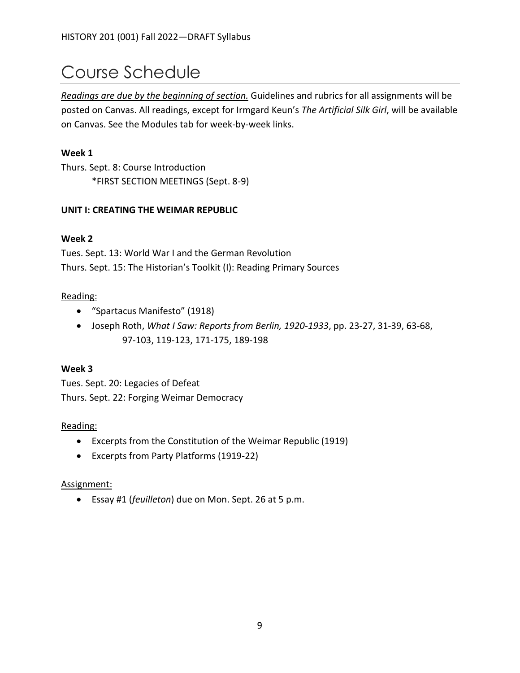### Course Schedule

*Readings are due by the beginning of section.* Guidelines and rubrics for all assignments will be posted on Canvas. All readings, except for Irmgard Keun's *The Artificial Silk Girl*, will be available on Canvas. See the Modules tab for week-by-week links.

#### **Week 1**

Thurs. Sept. 8: Course Introduction \*FIRST SECTION MEETINGS (Sept. 8-9)

#### **UNIT I: CREATING THE WEIMAR REPUBLIC**

#### **Week 2**

Tues. Sept. 13: World War I and the German Revolution Thurs. Sept. 15: The Historian's Toolkit (I): Reading Primary Sources

#### Reading:

- "Spartacus Manifesto" (1918)
- Joseph Roth, *What I Saw: Reports from Berlin, 1920-1933*, pp. 23-27, 31-39, 63-68, 97-103, 119-123, 171-175, 189-198

#### **Week 3**

Tues. Sept. 20: Legacies of Defeat Thurs. Sept. 22: Forging Weimar Democracy

#### Reading:

- Excerpts from the Constitution of the Weimar Republic (1919)
- Excerpts from Party Platforms (1919-22)

#### Assignment:

• Essay #1 (*feuilleton*) due on Mon. Sept. 26 at 5 p.m.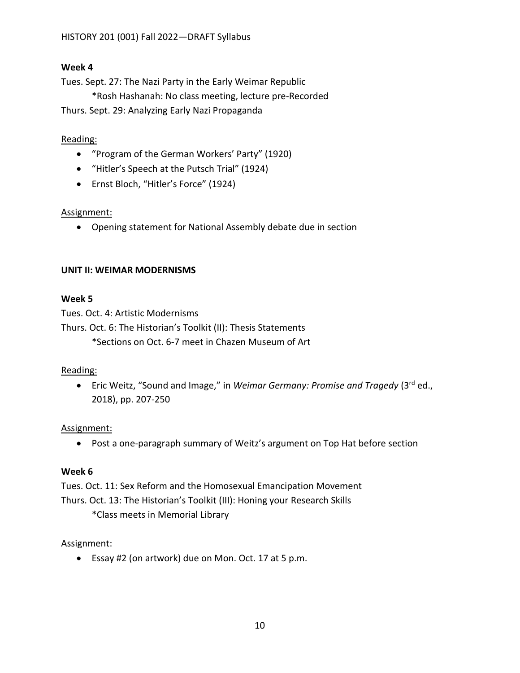#### **Week 4**

Tues. Sept. 27: The Nazi Party in the Early Weimar Republic \*Rosh Hashanah: No class meeting, lecture pre-Recorded Thurs. Sept. 29: Analyzing Early Nazi Propaganda

#### Reading:

- "Program of the German Workers' Party" (1920)
- "Hitler's Speech at the Putsch Trial" (1924)
- Ernst Bloch, "Hitler's Force" (1924)

#### Assignment:

• Opening statement for National Assembly debate due in section

#### **UNIT II: WEIMAR MODERNISMS**

#### **Week 5**

Tues. Oct. 4: Artistic Modernisms Thurs. Oct. 6: The Historian's Toolkit (II): Thesis Statements \*Sections on Oct. 6-7 meet in Chazen Museum of Art

#### Reading:

• Eric Weitz, "Sound and Image," in Weimar Germany: Promise and Tragedy (3<sup>rd</sup> ed., 2018), pp. 207-250

#### Assignment:

• Post a one-paragraph summary of Weitz's argument on Top Hat before section

#### **Week 6**

Tues. Oct. 11: Sex Reform and the Homosexual Emancipation Movement Thurs. Oct. 13: The Historian's Toolkit (III): Honing your Research Skills

\*Class meets in Memorial Library

#### Assignment:

• Essay #2 (on artwork) due on Mon. Oct. 17 at 5 p.m.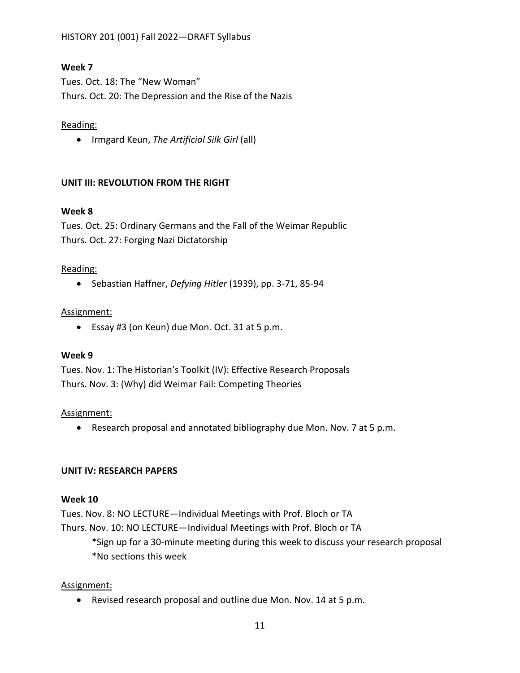#### **Week 7**

Tues. Oct. 18: The "New Woman" Thurs. Oct. 20: The Depression and the Rise of the Nazis

#### Reading:

• Irmgard Keun, *The Artificial Silk Girl* (all)

#### **UNIT III: REVOLUTION FROM THE RIGHT**

#### **Week 8**

Tues. Oct. 25: Ordinary Germans and the Fall of the Weimar Republic Thurs. Oct. 27: Forging Nazi Dictatorship

#### Reading:

• Sebastian Haffner, *Defying Hitler* (1939), pp. 3-71, 85-94

#### Assignment:

• Essay #3 (on Keun) due Mon. Oct. 31 at 5 p.m.

#### **Week 9**

Tues. Nov. 1: The Historian's Toolkit (IV): Effective Research Proposals Thurs. Nov. 3: (Why) did Weimar Fail: Competing Theories

#### Assignment:

• Research proposal and annotated bibliography due Mon. Nov. 7 at 5 p.m.

#### **UNIT IV: RESEARCH PAPERS**

#### **Week 10**

Tues. Nov. 8: NO LECTURE—Individual Meetings with Prof. Bloch or TA Thurs. Nov. 10: NO LECTURE—Individual Meetings with Prof. Bloch or TA \*Sign up for a 30-minute meeting during this week to discuss your research proposal

\*No sections this week

#### Assignment:

• Revised research proposal and outline due Mon. Nov. 14 at 5 p.m.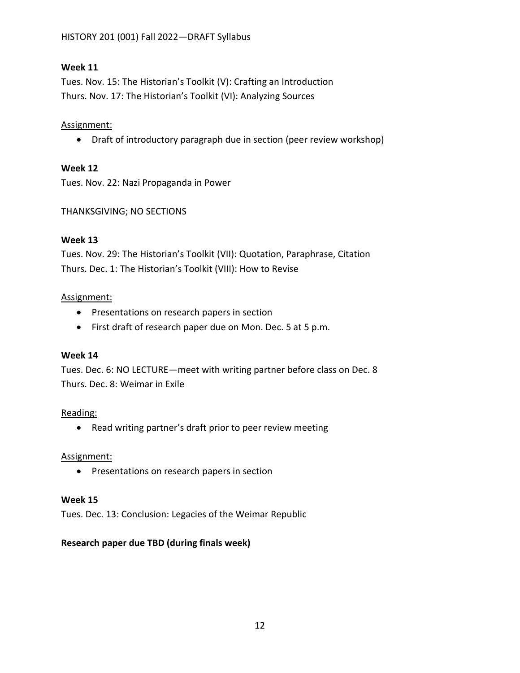#### **Week 11**

Tues. Nov. 15: The Historian's Toolkit (V): Crafting an Introduction Thurs. Nov. 17: The Historian's Toolkit (VI): Analyzing Sources

#### Assignment:

• Draft of introductory paragraph due in section (peer review workshop)

#### **Week 12**

Tues. Nov. 22: Nazi Propaganda in Power

#### THANKSGIVING; NO SECTIONS

#### **Week 13**

Tues. Nov. 29: The Historian's Toolkit (VII): Quotation, Paraphrase, Citation Thurs. Dec. 1: The Historian's Toolkit (VIII): How to Revise

#### Assignment:

- Presentations on research papers in section
- First draft of research paper due on Mon. Dec. 5 at 5 p.m.

#### **Week 14**

Tues. Dec. 6: NO LECTURE—meet with writing partner before class on Dec. 8 Thurs. Dec. 8: Weimar in Exile

#### Reading:

• Read writing partner's draft prior to peer review meeting

#### Assignment:

• Presentations on research papers in section

#### **Week 15**

Tues. Dec. 13: Conclusion: Legacies of the Weimar Republic

#### **Research paper due TBD (during finals week)**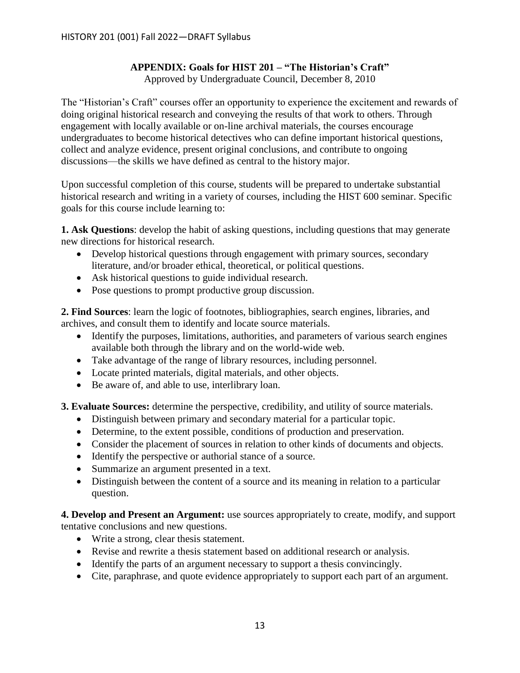#### **APPENDIX: Goals for HIST 201 – "The Historian's Craft"**

Approved by Undergraduate Council, December 8, 2010

The "Historian's Craft" courses offer an opportunity to experience the excitement and rewards of doing original historical research and conveying the results of that work to others. Through engagement with locally available or on-line archival materials, the courses encourage undergraduates to become historical detectives who can define important historical questions, collect and analyze evidence, present original conclusions, and contribute to ongoing discussions—the skills we have defined as central to the history major.

Upon successful completion of this course, students will be prepared to undertake substantial historical research and writing in a variety of courses, including the HIST 600 seminar. Specific goals for this course include learning to:

**1. Ask Questions**: develop the habit of asking questions, including questions that may generate new directions for historical research.

- Develop historical questions through engagement with primary sources, secondary literature, and/or broader ethical, theoretical, or political questions.
- Ask historical questions to guide individual research.
- Pose questions to prompt productive group discussion.

**2. Find Sources**: learn the logic of footnotes, bibliographies, search engines, libraries, and archives, and consult them to identify and locate source materials.

- Identify the purposes, limitations, authorities, and parameters of various search engines available both through the library and on the world-wide web.
- Take advantage of the range of library resources, including personnel.
- Locate printed materials, digital materials, and other objects.
- Be aware of, and able to use, interlibrary loan.

**3. Evaluate Sources:** determine the perspective, credibility, and utility of source materials.

- Distinguish between primary and secondary material for a particular topic.
- Determine, to the extent possible, conditions of production and preservation.
- Consider the placement of sources in relation to other kinds of documents and objects.
- Identify the perspective or authorial stance of a source.
- Summarize an argument presented in a text.
- Distinguish between the content of a source and its meaning in relation to a particular question.

**4. Develop and Present an Argument:** use sources appropriately to create, modify, and support tentative conclusions and new questions.

- Write a strong, clear thesis statement.
- Revise and rewrite a thesis statement based on additional research or analysis.
- Identify the parts of an argument necessary to support a thesis convincingly.
- Cite, paraphrase, and quote evidence appropriately to support each part of an argument.